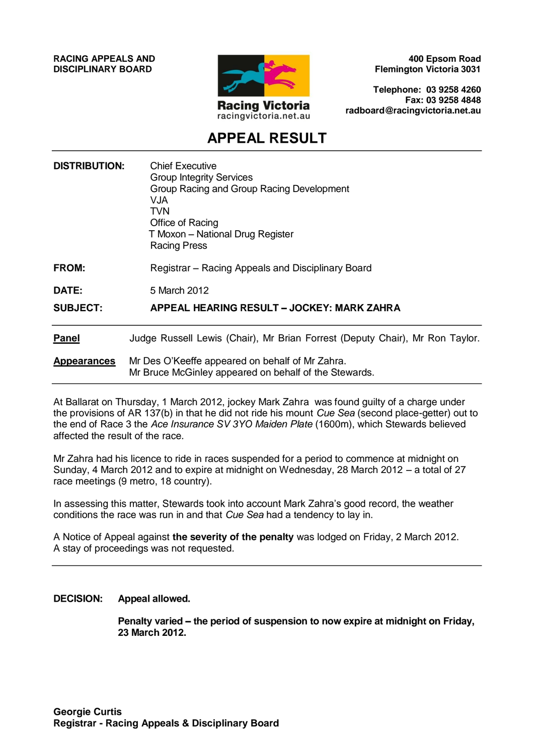**RACING APPEALS AND DISCIPLINARY BOARD**



**400 Epsom Road Flemington Victoria 3031**

**Telephone: 03 9258 4260 Fax: 03 9258 4848 radboard@racingvictoria.net.au**

# **APPEAL RESULT**

| <b>DISTRIBUTION:</b> | <b>Chief Executive</b><br><b>Group Integrity Services</b><br>Group Racing and Group Racing Development<br>VJA<br>TVN<br>Office of Racing<br>T Moxon - National Drug Register<br><b>Racing Press</b> |
|----------------------|-----------------------------------------------------------------------------------------------------------------------------------------------------------------------------------------------------|
| <b>FROM:</b>         | Registrar – Racing Appeals and Disciplinary Board                                                                                                                                                   |
| <b>DATE:</b>         | 5 March 2012                                                                                                                                                                                        |
| <b>SUBJECT:</b>      | APPEAL HEARING RESULT – JOCKEY: MARK ZAHRA                                                                                                                                                          |
| <b>Panel</b>         | Judge Russell Lewis (Chair), Mr Brian Forrest (Deputy Chair), Mr Ron Taylor.                                                                                                                        |
| <b>Appearances</b>   | Mr Des O'Keeffe appeared on behalf of Mr Zahra.<br>Mr Bruce McGinley appeared on behalf of the Stewards.                                                                                            |

At Ballarat on Thursday, 1 March 2012, jockey Mark Zahra was found guilty of a charge under the provisions of AR 137(b) in that he did not ride his mount *Cue Sea* (second place-getter) out to the end of Race 3 the *Ace Insurance SV 3YO Maiden Plate* (1600m), which Stewards believed affected the result of the race.

Mr Zahra had his licence to ride in races suspended for a period to commence at midnight on Sunday, 4 March 2012 and to expire at midnight on Wednesday, 28 March 2012 – a total of 27 race meetings (9 metro, 18 country).

In assessing this matter, Stewards took into account Mark Zahra's good record, the weather conditions the race was run in and that *Cue Sea* had a tendency to lay in.

A Notice of Appeal against **the severity of the penalty** was lodged on Friday, 2 March 2012. A stay of proceedings was not requested.

**DECISION: Appeal allowed.** 

**Penalty varied – the period of suspension to now expire at midnight on Friday, 23 March 2012.**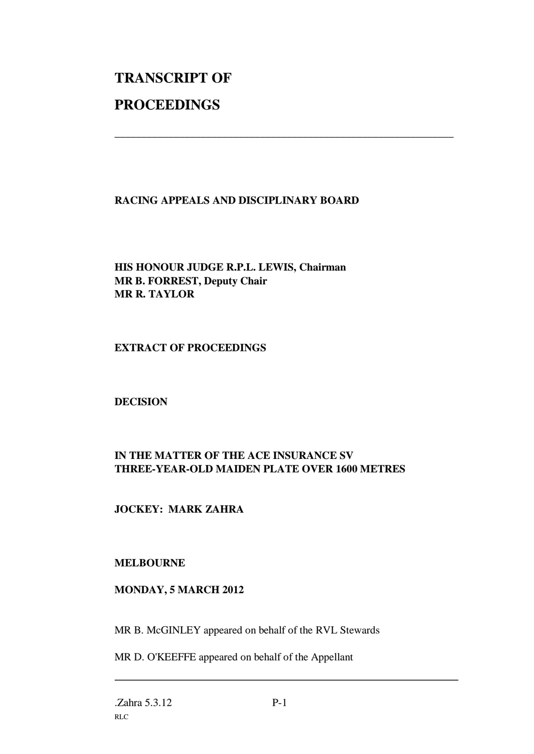# **TRANSCRIPT OF PROCEEDINGS**

# **RACING APPEALS AND DISCIPLINARY BOARD**

\_\_\_\_\_\_\_\_\_\_\_\_\_\_\_\_\_\_\_\_\_\_\_\_\_\_\_\_\_\_\_\_\_\_\_\_\_\_\_\_\_\_\_\_\_\_\_\_\_\_\_\_\_\_\_\_\_\_\_\_\_\_\_

# **HIS HONOUR JUDGE R.P.L. LEWIS, Chairman MR B. FORREST, Deputy Chair MR R. TAYLOR**

#### **EXTRACT OF PROCEEDINGS**

#### **DECISION**

# **IN THE MATTER OF THE ACE INSURANCE SV THREE-YEAR-OLD MAIDEN PLATE OVER 1600 METRES**

# **JOCKEY: MARK ZAHRA**

#### **MELBOURNE**

#### **MONDAY, 5 MARCH 2012**

MR B. McGINLEY appeared on behalf of the RVL Stewards

MR D. O'KEEFFE appeared on behalf of the Appellant